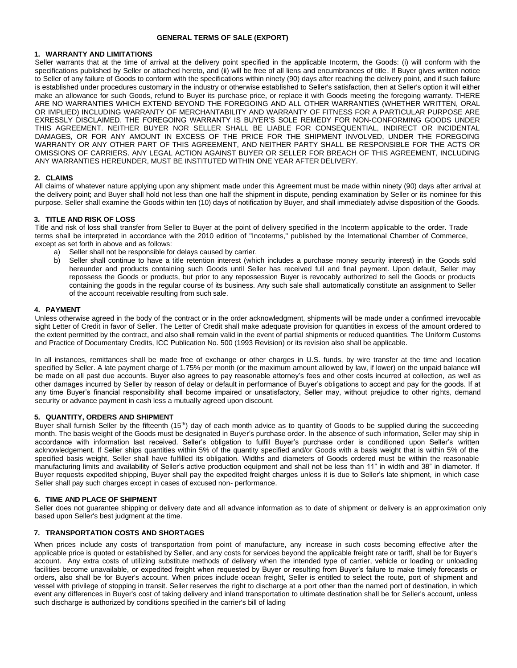# **GENERAL TERMS OF SALE (EXPORT)**

# **1. WARRANTY AND LIMITATIONS**

Seller warrants that at the time of arrival at the delivery point specified in the applicable Incoterm, the Goods: (i) will conform with the specifications published by Seller or attached hereto, and (ii) will be free of all liens and encumbrances of title. If Buyer gives written notice to Seller of any failure of Goods to conform with the specifications within ninety (90) days after reaching the delivery point, and if such failure is established under procedures customary in the industry or otherwise established to Seller's satisfaction, then at Seller's option it will either make an allowance for such Goods, refund to Buyer its purchase price, or replace it with Goods meeting the foregoing warranty. THERE ARE NO WARRANTIES WHICH EXTEND BEYOND THE FOREGOING AND ALL OTHER WARRANTIES (WHETHER WRITTEN, ORAL OR IMPLIED) INCLUDING WARRANTY OF MERCHANTABILITY AND WARRANTY OF FITNESS FOR A PARTICULAR PURPOSE ARE EXRESSLY DISCLAIMED. THE FOREGOING WARRANTY IS BUYER'S SOLE REMEDY FOR NON-CONFORMING GOODS UNDER THIS AGREEMENT. NEITHER BUYER NOR SELLER SHALL BE LIABLE FOR CONSEQUENTIAL, INDIRECT OR INCIDENTAL DAMAGES, OR FOR ANY AMOUNT IN EXCESS OF THE PRICE FOR THE SHIPMENT INVOLVED, UNDER THE FOREGOING WARRANTY OR ANY OTHER PART OF THIS AGREEMENT, AND NEITHER PARTY SHALL BE RESPONSIBLE FOR THE ACTS OR OMISSIONS OF CARRIERS. ANY LEGAL ACTION AGAINST BUYER OR SELLER FOR BREACH OF THIS AGREEMENT, INCLUDING ANY WARRANTIES HEREUNDER, MUST BE INSTITUTED WITHIN ONE YEAR AFTER DELIVERY.

# **2. CLAIMS**

All claims of whatever nature applying upon any shipment made under this Agreement must be made within ninety (90) days after arrival at the delivery point; and Buyer shall hold not less than one half the shipment in dispute, pending examination by Seller or its nominee for this purpose. Seller shall examine the Goods within ten (10) days of notification by Buyer, and shall immediately advise disposition of the Goods.

# **3. TITLE AND RISK OF LOSS**

Title and risk of loss shall transfer from Seller to Buyer at the point of delivery specified in the Incoterm applicable to the order. Trade terms shall be interpreted in accordance with the 2010 edition of "Incoterms," published by the International Chamber of Commerce, except as set forth in above and as follows:

- a) Seller shall not be responsible for delays caused by carrier.
- b) Seller shall continue to have a title retention interest (which includes a purchase money security interest) in the Goods sold hereunder and products containing such Goods until Seller has received full and final payment. Upon default, Seller may repossess the Goods or products, but prior to any repossession Buyer is revocably authorized to sell the Goods or products containing the goods in the regular course of its business. Any such sale shall automatically constitute an assignment to Seller of the account receivable resulting from such sale.

### **4. PAYMENT**

Unless otherwise agreed in the body of the contract or in the order acknowledgment, shipments will be made under a confirmed irrevocable sight Letter of Credit in favor of Seller. The Letter of Credit shall make adequate provision for quantities in excess of the amount ordered to the extent permitted by the contract, and also shall remain valid in the event of partial shipments or reduced quantities. The Uniform Customs and Practice of Documentary Credits, ICC Publication No. 500 (1993 Revision) or its revision also shall be applicable.

In all instances, remittances shall be made free of exchange or other charges in U.S. funds, by wire transfer at the time and location specified by Seller. A late payment charge of 1.75% per month (or the maximum amount allowed by law, if lower) on the unpaid balance will be made on all past due accounts. Buyer also agrees to pay reasonable attorney's fees and other costs incurred at collection, as well as other damages incurred by Seller by reason of delay or default in performance of Buyer's obligations to accept and pay for the goods. If at any time Buyer's financial responsibility shall become impaired or unsatisfactory, Seller may, without prejudice to other rights, demand security or advance payment in cash less a mutually agreed upon discount.

### **5. QUANTITY, ORDERS AND SHIPMENT**

Buyer shall furnish Seller by the fifteenth (15<sup>th</sup>) day of each month advice as to quantity of Goods to be supplied during the succeeding month. The basis weight of the Goods must be designated in Buyer's purchase order. In the absence of such information, Seller may ship in accordance with information last received. Seller's obligation to fulfill Buyer's purchase order is conditioned upon Seller's written acknowledgement. If Seller ships quantities within 5% of the quantity specified and/or Goods with a basis weight that is within 5% of the specified basis weight, Seller shall have fulfilled its obligation. Widths and diameters of Goods ordered must be within the reasonable manufacturing limits and availability of Seller's active production equipment and shall not be less than 11" in width and 38" in diameter. If Buyer requests expedited shipping, Buyer shall pay the expedited freight charges unless it is due to Seller's late shipment, in which case Seller shall pay such charges except in cases of excused non- performance.

# **6. TIME AND PLACE OF SHIPMENT**

Seller does not guarantee shipping or delivery date and all advance information as to date of shipment or delivery is an approximation only based upon Seller's best judgment at the time.

# **7. TRANSPORTATION COSTS AND SHORTAGES**

When prices include any costs of transportation from point of manufacture, any increase in such costs becoming effective after the applicable price is quoted or established by Seller, and any costs for services beyond the applicable freight rate or tariff, shall be for Buyer's account. Any extra costs of utilizing substitute methods of delivery when the intended type of carrier, vehicle or loading or unloading facilities become unavailable, or expedited freight when requested by Buyer or resulting from Buyer's failure to make timely forecasts or orders, also shall be for Buyer's account. When prices include ocean freight, Seller is entitled to select the route, port of shipment and vessel with privilege of stopping in transit. Seller reserves the right to discharge at a port other than the named port of destination, in which event any differences in Buyer's cost of taking delivery and inland transportation to ultimate destination shall be for Seller's account, unless such discharge is authorized by conditions specified in the carrier's bill of lading